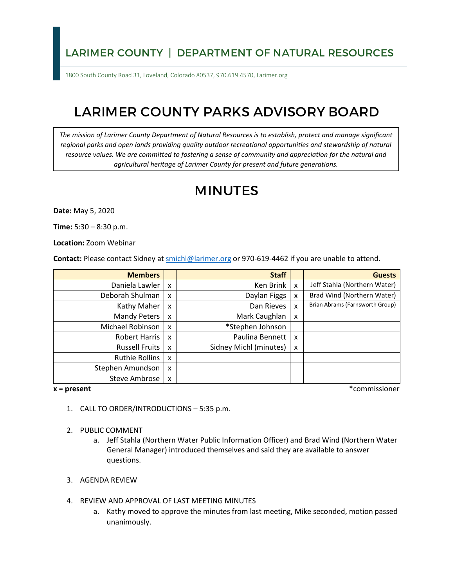## LARIMER COUNTY | DEPARTMENT OF NATURAL RESOURCES

1800 South County Road 31, Loveland, Colorado 80537, 970.619.4570, Larimer.org

# LARIMER COUNTY PARKS ADVISORY BOARD

*The mission of Larimer County Department of Natural Resources is to establish, protect and manage significant*  regional parks and open lands providing quality outdoor recreational opportunities and stewardship of natural *resource values. We are committed to fostering a sense of community and appreciation for the natural and agricultural heritage of Larimer County for present and future generations.*

# MINUTES

**Date:** May 5, 2020

**Time:** 5:30 – 8:30 p.m.

**Location:** Zoom Webinar

**Contact:** Please contact Sidney a[t smichl@larimer.org](mailto:smichl@larimer.org) or 970-619-4462 if you are unable to attend.

| <b>Members</b>        |                           | <b>Staff</b>           |   | <b>Guests</b>                   |
|-----------------------|---------------------------|------------------------|---|---------------------------------|
| Daniela Lawler        | $\boldsymbol{\mathsf{x}}$ | Ken Brink              | X | Jeff Stahla (Northern Water)    |
| Deborah Shulman       | X                         | Daylan Figgs           | x | Brad Wind (Northern Water)      |
| Kathy Maher           | $\boldsymbol{\mathsf{x}}$ | Dan Rieves             | x | Brian Abrams (Farnsworth Group) |
| <b>Mandy Peters</b>   | $\boldsymbol{\mathsf{x}}$ | Mark Caughlan          | x |                                 |
| Michael Robinson      | $\boldsymbol{\mathsf{x}}$ | *Stephen Johnson       |   |                                 |
| Robert Harris         | $\boldsymbol{\mathsf{x}}$ | Paulina Bennett        | x |                                 |
| <b>Russell Fruits</b> | $\boldsymbol{\mathsf{x}}$ | Sidney Michl (minutes) | x |                                 |
| Ruthie Rollins        | $\mathsf{x}$              |                        |   |                                 |
| Stephen Amundson      | $\boldsymbol{\mathsf{x}}$ |                        |   |                                 |
| Steve Ambrose         | $\boldsymbol{\mathsf{x}}$ |                        |   |                                 |

**x = present** \*commissioner

- 1. CALL TO ORDER/INTRODUCTIONS 5:35 p.m.
- 2. PUBLIC COMMENT
	- a. Jeff Stahla (Northern Water Public Information Officer) and Brad Wind (Northern Water General Manager) introduced themselves and said they are available to answer questions.
- 3. AGENDA REVIEW
- 4. REVIEW AND APPROVAL OF LAST MEETING MINUTES
	- a. Kathy moved to approve the minutes from last meeting, Mike seconded, motion passed unanimously.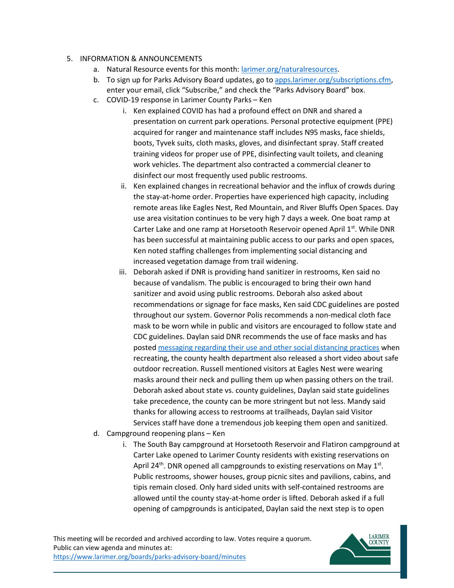#### 5. INFORMATION & ANNOUNCEMENTS

- a. Natural Resource events for this month: [larimer.org/naturalresources.](https://www.larimer.org/naturalresources)
- b. To sign up for Parks Advisory Board updates, go to [apps.larimer.org/subscriptions.cfm,](https://apps.larimer.org/subscriptions.cfm) enter your email, click "Subscribe," and check the "Parks Advisory Board" box.
- c. COVID-19 response in Larimer County Parks Ken
	- i. Ken explained COVID has had a profound effect on DNR and shared a presentation on current park operations. Personal protective equipment (PPE) acquired for ranger and maintenance staff includes N95 masks, face shields, boots, Tyvek suits, cloth masks, gloves, and disinfectant spray. Staff created training videos for proper use of PPE, disinfecting vault toilets, and cleaning work vehicles. The department also contracted a commercial cleaner to disinfect our most frequently used public restrooms.
	- ii. Ken explained changes in recreational behavior and the influx of crowds during the stay-at-home order. Properties have experienced high capacity, including remote areas like Eagles Nest, Red Mountain, and River Bluffs Open Spaces. Day use area visitation continues to be very high 7 days a week. One boat ramp at Carter Lake and one ramp at Horsetooth Reservoir opened April 1st. While DNR has been successful at maintaining public access to our parks and open spaces, Ken noted staffing challenges from implementing social distancing and increased vegetation damage from trail widening.
	- iii. Deborah asked if DNR is providing hand sanitizer in restrooms, Ken said no because of vandalism. The public is encouraged to bring their own hand sanitizer and avoid using public restrooms. Deborah also asked about recommendations or signage for face masks, Ken said CDC guidelines are posted throughout our system. Governor Polis recommends a non-medical cloth face mask to be worn while in public and visitors are encouraged to follow state and CDC guidelines. Daylan said DNR recommends the use of face masks and has posted messaging regarding their use [and other social distancing practices](https://www.larimer.org/naturalresources/trails) when recreating, the county health department also released a short video about safe outdoor recreation. Russell mentioned visitors at Eagles Nest were wearing masks around their neck and pulling them up when passing others on the trail. Deborah asked about state vs. county guidelines, Daylan said state guidelines take precedence, the county can be more stringent but not less. Mandy said thanks for allowing access to restrooms at trailheads, Daylan said Visitor Services staff have done a tremendous job keeping them open and sanitized.
- d. Campground reopening plans Ken
	- i. The South Bay campground at Horsetooth Reservoir and Flatiron campground at Carter Lake opened to Larimer County residents with existing reservations on April 24<sup>th</sup>. DNR opened all campgrounds to existing reservations on May  $1<sup>st</sup>$ . Public restrooms, shower houses, group picnic sites and pavilions, cabins, and tipis remain closed. Only hard sided units with self-contained restrooms are allowed until the county stay-at-home order is lifted. Deborah asked if a full opening of campgrounds is anticipated, Daylan said the next step is to open

This meeting will be recorded and archived according to law. Votes require a quorum. Public can view agenda and minutes at: <https://www.larimer.org/boards/parks-advisory-board/minutes>

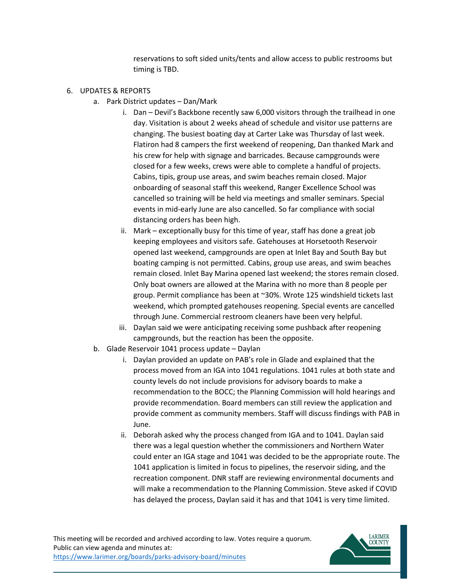reservations to soft sided units/tents and allow access to public restrooms but timing is TBD.

#### 6. UPDATES & REPORTS

- a. Park District updates Dan/Mark
	- i. Dan Devil's Backbone recently saw 6,000 visitors through the trailhead in one day. Visitation is about 2 weeks ahead of schedule and visitor use patterns are changing. The busiest boating day at Carter Lake was Thursday of last week. Flatiron had 8 campers the first weekend of reopening, Dan thanked Mark and his crew for help with signage and barricades. Because campgrounds were closed for a few weeks, crews were able to complete a handful of projects. Cabins, tipis, group use areas, and swim beaches remain closed. Major onboarding of seasonal staff this weekend, Ranger Excellence School was cancelled so training will be held via meetings and smaller seminars. Special events in mid-early June are also cancelled. So far compliance with social distancing orders has been high.
	- ii. Mark exceptionally busy for this time of year, staff has done a great job keeping employees and visitors safe. Gatehouses at Horsetooth Reservoir opened last weekend, campgrounds are open at Inlet Bay and South Bay but boating camping is not permitted. Cabins, group use areas, and swim beaches remain closed. Inlet Bay Marina opened last weekend; the stores remain closed. Only boat owners are allowed at the Marina with no more than 8 people per group. Permit compliance has been at ~30%. Wrote 125 windshield tickets last weekend, which prompted gatehouses reopening. Special events are cancelled through June. Commercial restroom cleaners have been very helpful.
	- iii. Daylan said we were anticipating receiving some pushback after reopening campgrounds, but the reaction has been the opposite.
- b. Glade Reservoir 1041 process update Daylan
	- i. Daylan provided an update on PAB's role in Glade and explained that the process moved from an IGA into 1041 regulations. 1041 rules at both state and county levels do not include provisions for advisory boards to make a recommendation to the BOCC; the Planning Commission will hold hearings and provide recommendation. Board members can still review the application and provide comment as community members. Staff will discuss findings with PAB in June.
	- ii. Deborah asked why the process changed from IGA and to 1041. Daylan said there was a legal question whether the commissioners and Northern Water could enter an IGA stage and 1041 was decided to be the appropriate route. The 1041 application is limited in focus to pipelines, the reservoir siding, and the recreation component. DNR staff are reviewing environmental documents and will make a recommendation to the Planning Commission. Steve asked if COVID has delayed the process, Daylan said it has and that 1041 is very time limited.

This meeting will be recorded and archived according to law. Votes require a quorum. Public can view agenda and minutes at: <https://www.larimer.org/boards/parks-advisory-board/minutes>

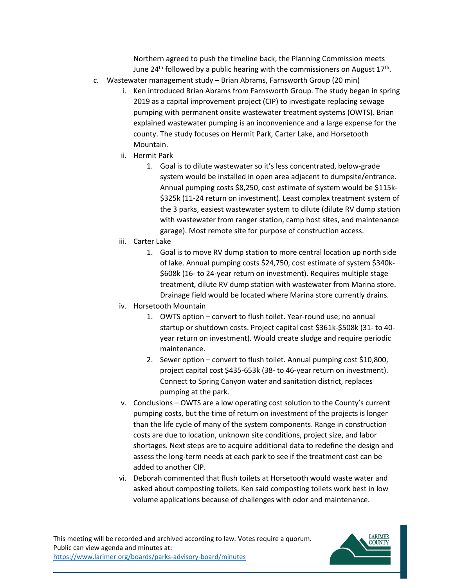Northern agreed to push the timeline back, the Planning Commission meets June 24<sup>th</sup> followed by a public hearing with the commissioners on August  $17<sup>th</sup>$ .

- c. Wastewater management study Brian Abrams, Farnsworth Group (20 min)
	- i. Ken introduced Brian Abrams from Farnsworth Group. The study began in spring 2019 as a capital improvement project (CIP) to investigate replacing sewage pumping with permanent onsite wastewater treatment systems (OWTS). Brian explained wastewater pumping is an inconvenience and a large expense for the county. The study focuses on Hermit Park, Carter Lake, and Horsetooth Mountain.
	- ii. Hermit Park
		- 1. Goal is to dilute wastewater so it's less concentrated, below-grade system would be installed in open area adjacent to dumpsite/entrance. Annual pumping costs \$8,250, cost estimate of system would be \$115k- \$325k (11-24 return on investment). Least complex treatment system of the 3 parks, easiest wastewater system to dilute (dilute RV dump station with wastewater from ranger station, camp host sites, and maintenance garage). Most remote site for purpose of construction access.
	- iii. Carter Lake
		- 1. Goal is to move RV dump station to more central location up north side of lake. Annual pumping costs \$24,750, cost estimate of system \$340k- \$608k (16- to 24-year return on investment). Requires multiple stage treatment, dilute RV dump station with wastewater from Marina store. Drainage field would be located where Marina store currently drains.
	- iv. Horsetooth Mountain
		- 1. OWTS option convert to flush toilet. Year-round use; no annual startup or shutdown costs. Project capital cost \$361k-\$508k (31- to 40 year return on investment). Would create sludge and require periodic maintenance.
		- 2. Sewer option convert to flush toilet. Annual pumping cost \$10,800, project capital cost \$435-653k (38- to 46-year return on investment). Connect to Spring Canyon water and sanitation district, replaces pumping at the park.
	- v. Conclusions OWTS are a low operating cost solution to the County's current pumping costs, but the time of return on investment of the projects is longer than the life cycle of many of the system components. Range in construction costs are due to location, unknown site conditions, project size, and labor shortages. Next steps are to acquire additional data to redefine the design and assess the long-term needs at each park to see if the treatment cost can be added to another CIP.
	- vi. Deborah commented that flush toilets at Horsetooth would waste water and asked about composting toilets. Ken said composting toilets work best in low volume applications because of challenges with odor and maintenance.

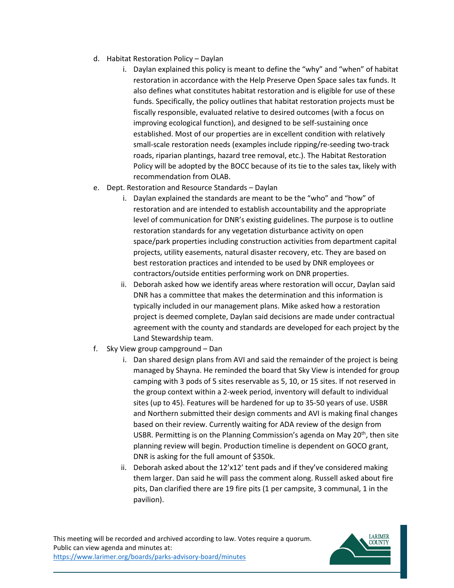- d. Habitat Restoration Policy Daylan
	- i. Daylan explained this policy is meant to define the "why" and "when" of habitat restoration in accordance with the Help Preserve Open Space sales tax funds. It also defines what constitutes habitat restoration and is eligible for use of these funds. Specifically, the policy outlines that habitat restoration projects must be fiscally responsible, evaluated relative to desired outcomes (with a focus on improving ecological function), and designed to be self-sustaining once established. Most of our properties are in excellent condition with relatively small-scale restoration needs (examples include ripping/re-seeding two-track roads, riparian plantings, hazard tree removal, etc.). The Habitat Restoration Policy will be adopted by the BOCC because of its tie to the sales tax, likely with recommendation from OLAB.
- e. Dept. Restoration and Resource Standards Daylan
	- i. Daylan explained the standards are meant to be the "who" and "how" of restoration and are intended to establish accountability and the appropriate level of communication for DNR's existing guidelines. The purpose is to outline restoration standards for any vegetation disturbance activity on open space/park properties including construction activities from department capital projects, utility easements, natural disaster recovery, etc. They are based on best restoration practices and intended to be used by DNR employees or contractors/outside entities performing work on DNR properties.
	- ii. Deborah asked how we identify areas where restoration will occur, Daylan said DNR has a committee that makes the determination and this information is typically included in our management plans. Mike asked how a restoration project is deemed complete, Daylan said decisions are made under contractual agreement with the county and standards are developed for each project by the Land Stewardship team.
- f. Sky View group campground Dan
	- i. Dan shared design plans from AVI and said the remainder of the project is being managed by Shayna. He reminded the board that Sky View is intended for group camping with 3 pods of 5 sites reservable as 5, 10, or 15 sites. If not reserved in the group context within a 2-week period, inventory will default to individual sites (up to 45). Features will be hardened for up to 35-50 years of use. USBR and Northern submitted their design comments and AVI is making final changes based on their review. Currently waiting for ADA review of the design from USBR. Permitting is on the Planning Commission's agenda on May  $20<sup>th</sup>$ , then site planning review will begin. Production timeline is dependent on GOCO grant, DNR is asking for the full amount of \$350k.
	- ii. Deborah asked about the 12'x12' tent pads and if they've considered making them larger. Dan said he will pass the comment along. Russell asked about fire pits, Dan clarified there are 19 fire pits (1 per campsite, 3 communal, 1 in the pavilion).